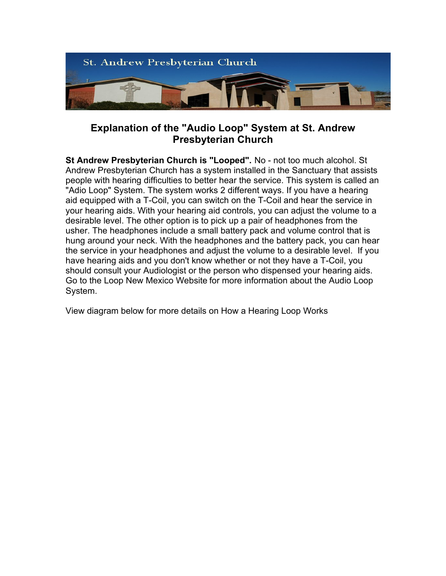

## **Explanation of the "Audio Loop" System at St. Andrew Presbyterian Church**

**St Andrew Presbyterian Church is "Looped".** No - not too much alcohol. St Andrew Presbyterian Church has a system installed in the Sanctuary that assists people with hearing difficulties to better hear the service. This system is called an "Adio Loop" System. The system works 2 different ways. If you have a hearing aid equipped with a T-Coil, you can switch on the T-Coil and hear the service in your hearing aids. With your hearing aid controls, you can adjust the volume to a desirable level. The other option is to pick up a pair of headphones from the usher. The headphones include a small battery pack and volume control that is hung around your neck. With the headphones and the battery pack, you can hear the service in your headphones and adjust the volume to a desirable level. If you have hearing aids and you don't know whether or not they have a T-Coil, you should consult your Audiologist or the person who dispensed your hearing aids. Go to the Loop New Mexico Website for more information about the Audio Loop System.

View diagram below for more details on How a Hearing Loop Works